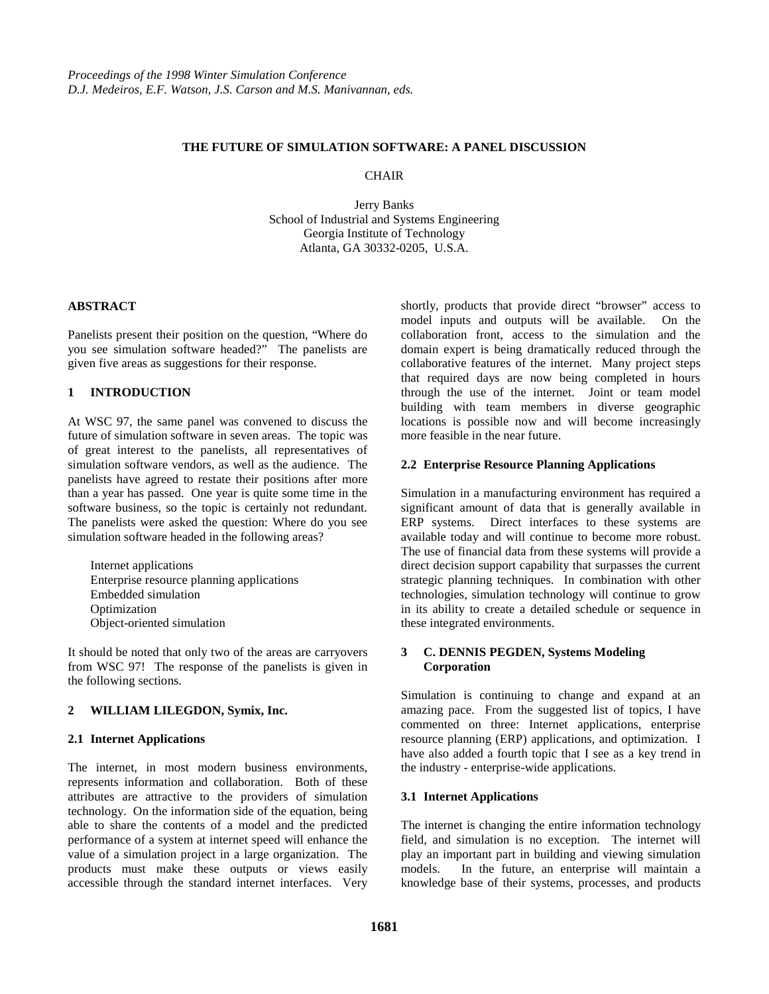### **THE FUTURE OF SIMULATION SOFTWARE: A PANEL DISCUSSION**

#### **CHAIR**

Jerry Banks School of Industrial and Systems Engineering Georgia Institute of Technology Atlanta, GA 30332-0205, U.S.A.

### **ABSTRACT**

Panelists present their position on the question, "Where do you see simulation software headed?" The panelists are given five areas as suggestions for their response.

### **1 INTRODUCTION**

At WSC 97, the same panel was convened to discuss the future of simulation software in seven areas. The topic was of great interest to the panelists, all representatives of simulation software vendors, as well as the audience. The panelists have agreed to restate their positions after more than a year has passed. One year is quite some time in the software business, so the topic is certainly not redundant. The panelists were asked the question: Where do you see simulation software headed in the following areas?

Internet applications Enterprise resource planning applications Embedded simulation Optimization Object-oriented simulation

It should be noted that only two of the areas are carryovers from WSC 97! The response of the panelists is given in the following sections.

### **2 WILLIAM LILEGDON, Symix, Inc.**

### **2.1 Internet Applications**

The internet, in most modern business environments, represents information and collaboration. Both of these attributes are attractive to the providers of simulation technology. On the information side of the equation, being able to share the contents of a model and the predicted performance of a system at internet speed will enhance the value of a simulation project in a large organization. The products must make these outputs or views easily accessible through the standard internet interfaces. Very

shortly, products that provide direct "browser" access to model inputs and outputs will be available. On the collaboration front, access to the simulation and the domain expert is being dramatically reduced through the collaborative features of the internet. Many project steps that required days are now being completed in hours through the use of the internet. Joint or team model building with team members in diverse geographic locations is possible now and will become increasingly more feasible in the near future.

### **2.2 Enterprise Resource Planning Applications**

Simulation in a manufacturing environment has required a significant amount of data that is generally available in ERP systems. Direct interfaces to these systems are available today and will continue to become more robust. The use of financial data from these systems will provide a direct decision support capability that surpasses the current strategic planning techniques. In combination with other technologies, simulation technology will continue to grow in its ability to create a detailed schedule or sequence in these integrated environments.

### **3 C. DENNIS PEGDEN, Systems Modeling Corporation**

Simulation is continuing to change and expand at an amazing pace. From the suggested list of topics, I have commented on three: Internet applications, enterprise resource planning (ERP) applications, and optimization. I have also added a fourth topic that I see as a key trend in the industry - enterprise-wide applications.

### **3.1 Internet Applications**

The internet is changing the entire information technology field, and simulation is no exception. The internet will play an important part in building and viewing simulation models. In the future, an enterprise will maintain a knowledge base of their systems, processes, and products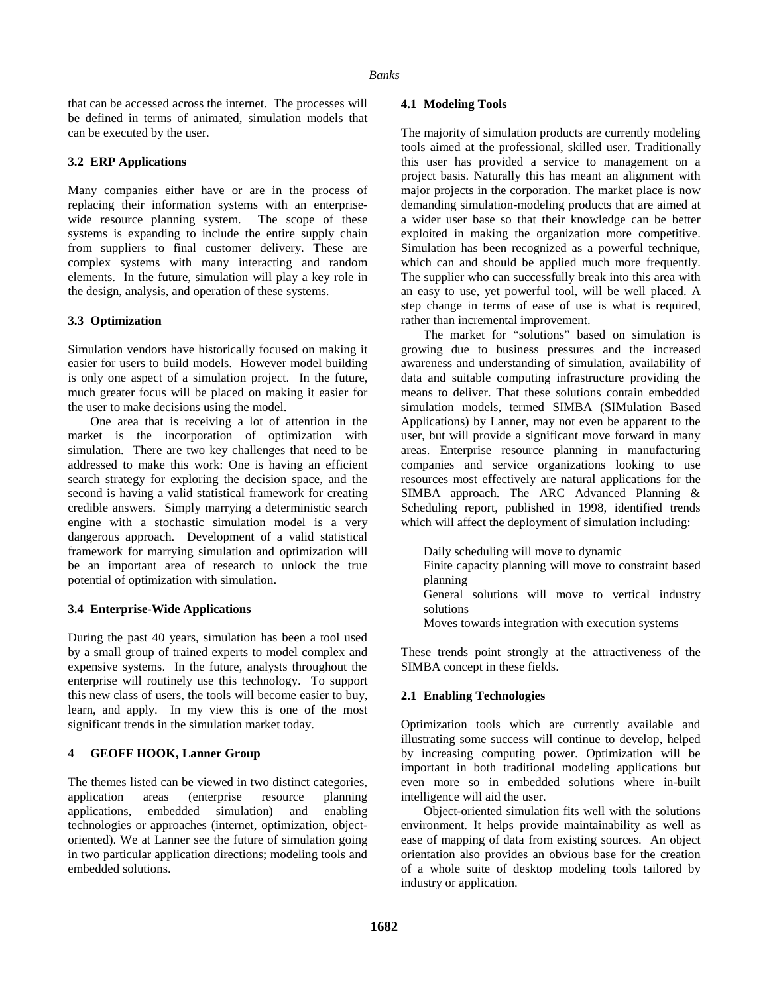that can be accessed across the internet. The processes will be defined in terms of animated, simulation models that can be executed by the user.

### **3.2 ERP Applications**

Many companies either have or are in the process of replacing their information systems with an enterprisewide resource planning system. The scope of these systems is expanding to include the entire supply chain from suppliers to final customer delivery. These are complex systems with many interacting and random elements. In the future, simulation will play a key role in the design, analysis, and operation of these systems.

### **3.3 Optimization**

Simulation vendors have historically focused on making it easier for users to build models. However model building is only one aspect of a simulation project. In the future, much greater focus will be placed on making it easier for the user to make decisions using the model.

One area that is receiving a lot of attention in the market is the incorporation of optimization with simulation. There are two key challenges that need to be addressed to make this work: One is having an efficient search strategy for exploring the decision space, and the second is having a valid statistical framework for creating credible answers. Simply marrying a deterministic search engine with a stochastic simulation model is a very dangerous approach. Development of a valid statistical framework for marrying simulation and optimization will be an important area of research to unlock the true potential of optimization with simulation.

# **3.4 Enterprise-Wide Applications**

During the past 40 years, simulation has been a tool used by a small group of trained experts to model complex and expensive systems. In the future, analysts throughout the enterprise will routinely use this technology. To support this new class of users, the tools will become easier to buy, learn, and apply. In my view this is one of the most significant trends in the simulation market today.

# **4 GEOFF HOOK, Lanner Group**

The themes listed can be viewed in two distinct categories, application areas (enterprise resource planning applications, embedded simulation) and enabling technologies or approaches (internet, optimization, objectoriented). We at Lanner see the future of simulation going in two particular application directions; modeling tools and embedded solutions.

### **4.1 Modeling Tools**

The majority of simulation products are currently modeling tools aimed at the professional, skilled user. Traditionally this user has provided a service to management on a project basis. Naturally this has meant an alignment with major projects in the corporation. The market place is now demanding simulation-modeling products that are aimed at a wider user base so that their knowledge can be better exploited in making the organization more competitive. Simulation has been recognized as a powerful technique, which can and should be applied much more frequently. The supplier who can successfully break into this area with an easy to use, yet powerful tool, will be well placed. A step change in terms of ease of use is what is required, rather than incremental improvement.

The market for "solutions" based on simulation is growing due to business pressures and the increased awareness and understanding of simulation, availability of data and suitable computing infrastructure providing the means to deliver. That these solutions contain embedded simulation models, termed SIMBA (SIMulation Based Applications) by Lanner, may not even be apparent to the user, but will provide a significant move forward in many areas. Enterprise resource planning in manufacturing companies and service organizations looking to use resources most effectively are natural applications for the SIMBA approach. The ARC Advanced Planning & Scheduling report, published in 1998, identified trends which will affect the deployment of simulation including:

Daily scheduling will move to dynamic Finite capacity planning will move to constraint based planning General solutions will move to vertical industry solutions

Moves towards integration with execution systems

These trends point strongly at the attractiveness of the SIMBA concept in these fields.

# **2.1 Enabling Technologies**

Optimization tools which are currently available and illustrating some success will continue to develop, helped by increasing computing power. Optimization will be important in both traditional modeling applications but even more so in embedded solutions where in-built intelligence will aid the user.

Object-oriented simulation fits well with the solutions environment. It helps provide maintainability as well as ease of mapping of data from existing sources. An object orientation also provides an obvious base for the creation of a whole suite of desktop modeling tools tailored by industry or application.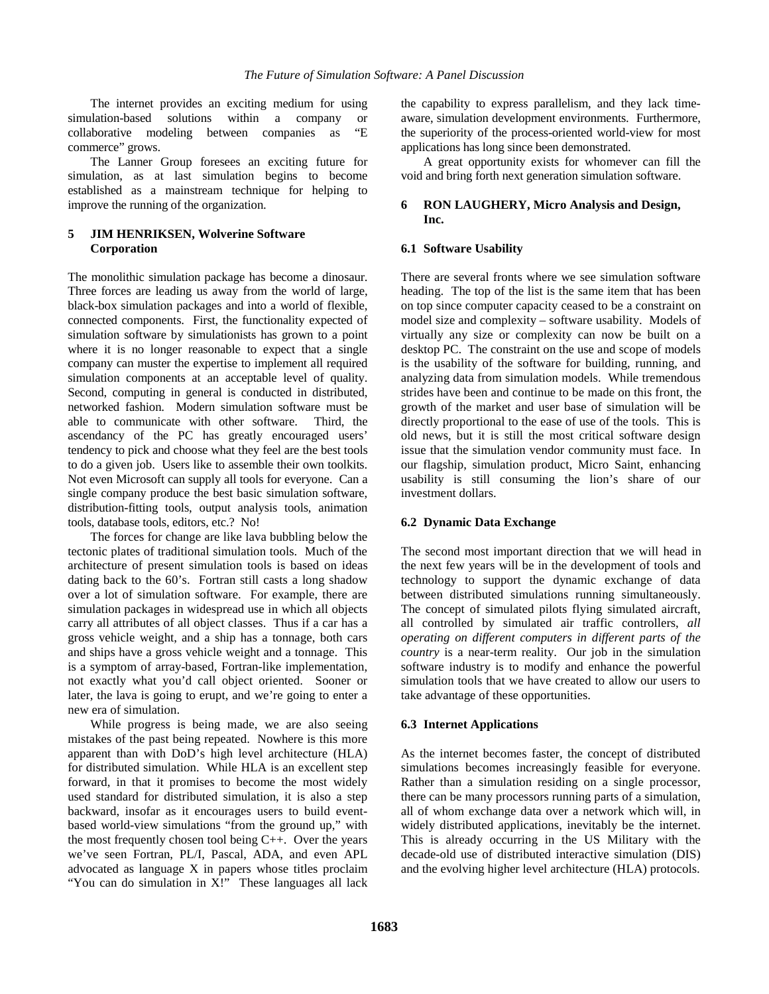The internet provides an exciting medium for using simulation-based solutions within a company or collaborative modeling between companies as "E commerce" grows.

The Lanner Group foresees an exciting future for simulation, as at last simulation begins to become established as a mainstream technique for helping to improve the running of the organization.

# **5 JIM HENRIKSEN, Wolverine Software Corporation**

The monolithic simulation package has become a dinosaur. Three forces are leading us away from the world of large, black-box simulation packages and into a world of flexible, connected components. First, the functionality expected of simulation software by simulationists has grown to a point where it is no longer reasonable to expect that a single company can muster the expertise to implement all required simulation components at an acceptable level of quality. Second, computing in general is conducted in distributed, networked fashion. Modern simulation software must be able to communicate with other software. Third, the ascendancy of the PC has greatly encouraged users' tendency to pick and choose what they feel are the best tools to do a given job. Users like to assemble their own toolkits. Not even Microsoft can supply all tools for everyone. Can a single company produce the best basic simulation software, distribution-fitting tools, output analysis tools, animation tools, database tools, editors, etc.? No!

The forces for change are like lava bubbling below the tectonic plates of traditional simulation tools. Much of the architecture of present simulation tools is based on ideas dating back to the 60's. Fortran still casts a long shadow over a lot of simulation software. For example, there are simulation packages in widespread use in which all objects carry all attributes of all object classes. Thus if a car has a gross vehicle weight, and a ship has a tonnage, both cars and ships have a gross vehicle weight and a tonnage. This is a symptom of array-based, Fortran-like implementation, not exactly what you'd call object oriented. Sooner or later, the lava is going to erupt, and we're going to enter a new era of simulation.

While progress is being made, we are also seeing mistakes of the past being repeated. Nowhere is this more apparent than with DoD's high level architecture (HLA) for distributed simulation. While HLA is an excellent step forward, in that it promises to become the most widely used standard for distributed simulation, it is also a step backward, insofar as it encourages users to build eventbased world-view simulations "from the ground up," with the most frequently chosen tool being C++. Over the years we've seen Fortran, PL/I, Pascal, ADA, and even APL advocated as language X in papers whose titles proclaim "You can do simulation in X!" These languages all lack the capability to express parallelism, and they lack timeaware, simulation development environments. Furthermore, the superiority of the process-oriented world-view for most applications has long since been demonstrated.

A great opportunity exists for whomever can fill the void and bring forth next generation simulation software.

## **6 RON LAUGHERY, Micro Analysis and Design, Inc.**

## **6.1 Software Usability**

There are several fronts where we see simulation software heading. The top of the list is the same item that has been on top since computer capacity ceased to be a constraint on model size and complexity – software usability. Models of virtually any size or complexity can now be built on a desktop PC. The constraint on the use and scope of models is the usability of the software for building, running, and analyzing data from simulation models. While tremendous strides have been and continue to be made on this front, the growth of the market and user base of simulation will be directly proportional to the ease of use of the tools. This is old news, but it is still the most critical software design issue that the simulation vendor community must face. In our flagship, simulation product, Micro Saint, enhancing usability is still consuming the lion's share of our investment dollars.

# **6.2 Dynamic Data Exchange**

The second most important direction that we will head in the next few years will be in the development of tools and technology to support the dynamic exchange of data between distributed simulations running simultaneously. The concept of simulated pilots flying simulated aircraft, all controlled by simulated air traffic controllers, *all operating on different computers in different parts of the country* is a near-term reality. Our job in the simulation software industry is to modify and enhance the powerful simulation tools that we have created to allow our users to take advantage of these opportunities.

### **6.3 Internet Applications**

As the internet becomes faster, the concept of distributed simulations becomes increasingly feasible for everyone. Rather than a simulation residing on a single processor, there can be many processors running parts of a simulation, all of whom exchange data over a network which will, in widely distributed applications, inevitably be the internet. This is already occurring in the US Military with the decade-old use of distributed interactive simulation (DIS) and the evolving higher level architecture (HLA) protocols.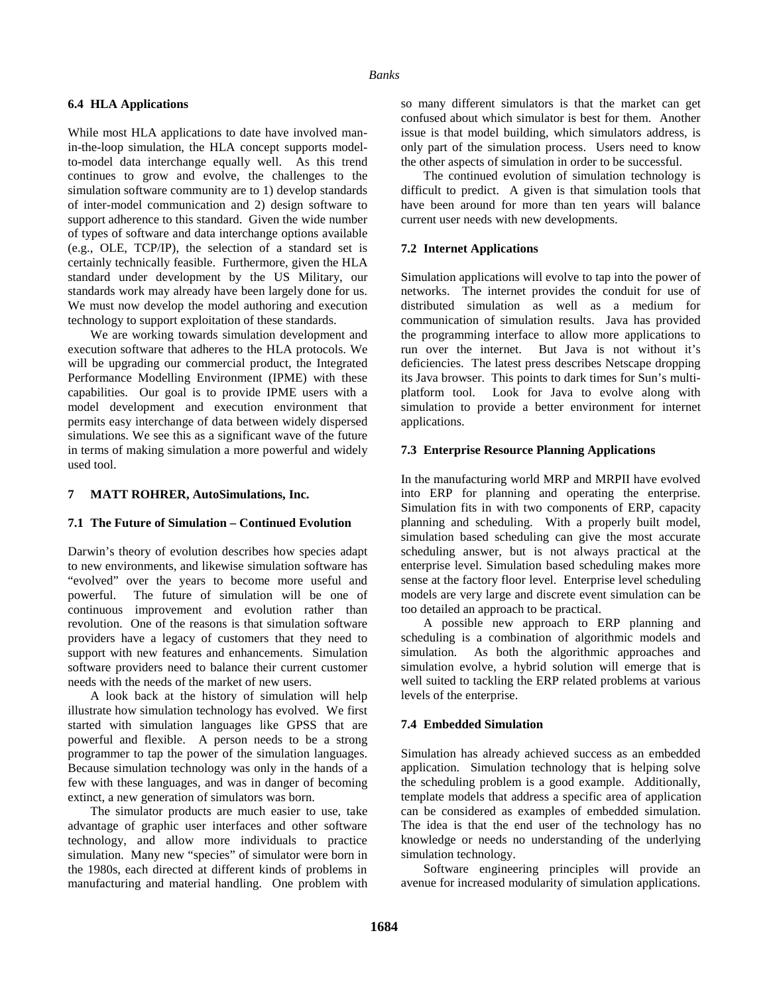### **6.4 HLA Applications**

While most HLA applications to date have involved manin-the-loop simulation, the HLA concept supports modelto-model data interchange equally well. As this trend continues to grow and evolve, the challenges to the simulation software community are to 1) develop standards of inter-model communication and 2) design software to support adherence to this standard. Given the wide number of types of software and data interchange options available (e.g., OLE, TCP/IP), the selection of a standard set is certainly technically feasible. Furthermore, given the HLA standard under development by the US Military, our standards work may already have been largely done for us. We must now develop the model authoring and execution technology to support exploitation of these standards.

We are working towards simulation development and execution software that adheres to the HLA protocols. We will be upgrading our commercial product, the Integrated Performance Modelling Environment (IPME) with these capabilities. Our goal is to provide IPME users with a model development and execution environment that permits easy interchange of data between widely dispersed simulations. We see this as a significant wave of the future in terms of making simulation a more powerful and widely used tool.

### **7 MATT ROHRER, AutoSimulations, Inc.**

### **7.1 The Future of Simulation – Continued Evolution**

Darwin's theory of evolution describes how species adapt to new environments, and likewise simulation software has "evolved" over the years to become more useful and powerful. The future of simulation will be one of continuous improvement and evolution rather than revolution. One of the reasons is that simulation software providers have a legacy of customers that they need to support with new features and enhancements. Simulation software providers need to balance their current customer needs with the needs of the market of new users.

A look back at the history of simulation will help illustrate how simulation technology has evolved. We first started with simulation languages like GPSS that are powerful and flexible. A person needs to be a strong programmer to tap the power of the simulation languages. Because simulation technology was only in the hands of a few with these languages, and was in danger of becoming extinct, a new generation of simulators was born.

The simulator products are much easier to use, take advantage of graphic user interfaces and other software technology, and allow more individuals to practice simulation. Many new "species" of simulator were born in the 1980s, each directed at different kinds of problems in manufacturing and material handling. One problem with so many different simulators is that the market can get confused about which simulator is best for them. Another issue is that model building, which simulators address, is only part of the simulation process. Users need to know the other aspects of simulation in order to be successful.

The continued evolution of simulation technology is difficult to predict. A given is that simulation tools that have been around for more than ten years will balance current user needs with new developments.

### **7.2 Internet Applications**

Simulation applications will evolve to tap into the power of networks. The internet provides the conduit for use of distributed simulation as well as a medium for communication of simulation results. Java has provided the programming interface to allow more applications to run over the internet. But Java is not without it's deficiencies. The latest press describes Netscape dropping its Java browser. This points to dark times for Sun's multiplatform tool. Look for Java to evolve along with simulation to provide a better environment for internet applications.

### **7.3 Enterprise Resource Planning Applications**

In the manufacturing world MRP and MRPII have evolved into ERP for planning and operating the enterprise. Simulation fits in with two components of ERP, capacity planning and scheduling. With a properly built model, simulation based scheduling can give the most accurate scheduling answer, but is not always practical at the enterprise level. Simulation based scheduling makes more sense at the factory floor level. Enterprise level scheduling models are very large and discrete event simulation can be too detailed an approach to be practical.

A possible new approach to ERP planning and scheduling is a combination of algorithmic models and simulation. As both the algorithmic approaches and simulation evolve, a hybrid solution will emerge that is well suited to tackling the ERP related problems at various levels of the enterprise.

# **7.4 Embedded Simulation**

Simulation has already achieved success as an embedded application. Simulation technology that is helping solve the scheduling problem is a good example. Additionally, template models that address a specific area of application can be considered as examples of embedded simulation. The idea is that the end user of the technology has no knowledge or needs no understanding of the underlying simulation technology.

Software engineering principles will provide an avenue for increased modularity of simulation applications.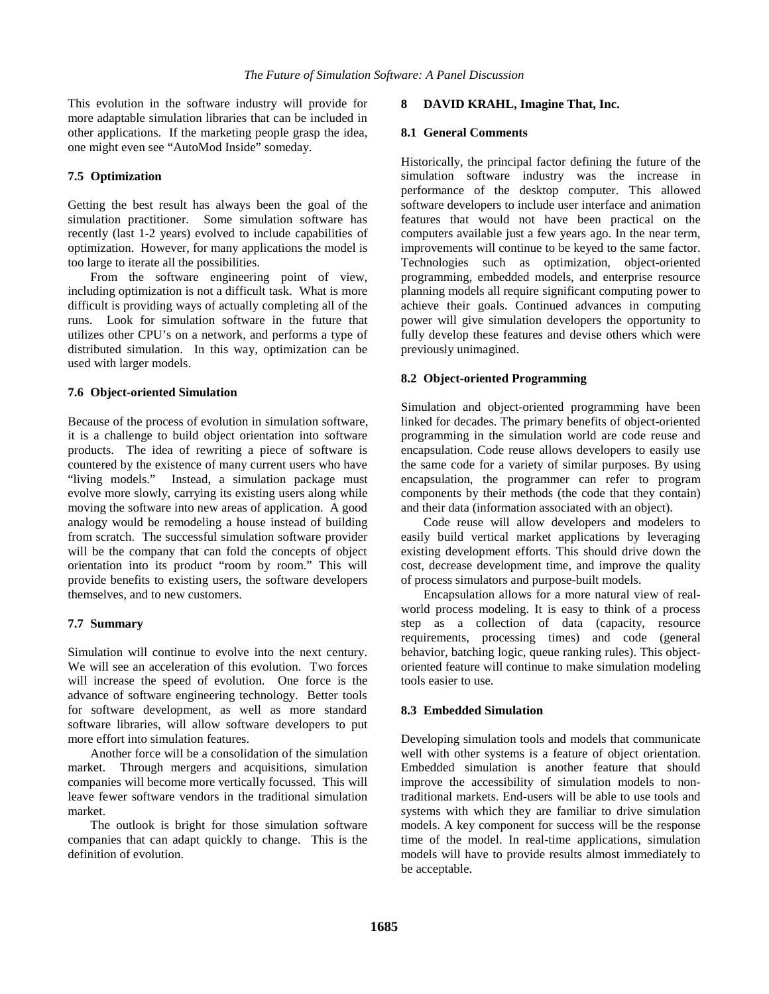This evolution in the software industry will provide for more adaptable simulation libraries that can be included in other applications. If the marketing people grasp the idea, one might even see "AutoMod Inside" someday.

## **7.5 Optimization**

Getting the best result has always been the goal of the simulation practitioner. Some simulation software has recently (last 1-2 years) evolved to include capabilities of optimization. However, for many applications the model is too large to iterate all the possibilities.

From the software engineering point of view, including optimization is not a difficult task. What is more difficult is providing ways of actually completing all of the runs. Look for simulation software in the future that utilizes other CPU's on a network, and performs a type of distributed simulation. In this way, optimization can be used with larger models.

### **7.6 Object-oriented Simulation**

Because of the process of evolution in simulation software, it is a challenge to build object orientation into software products. The idea of rewriting a piece of software is countered by the existence of many current users who have "living models." Instead, a simulation package must evolve more slowly, carrying its existing users along while moving the software into new areas of application. A good analogy would be remodeling a house instead of building from scratch. The successful simulation software provider will be the company that can fold the concepts of object orientation into its product "room by room." This will provide benefits to existing users, the software developers themselves, and to new customers.

### **7.7 Summary**

Simulation will continue to evolve into the next century. We will see an acceleration of this evolution. Two forces will increase the speed of evolution. One force is the advance of software engineering technology. Better tools for software development, as well as more standard software libraries, will allow software developers to put more effort into simulation features.

Another force will be a consolidation of the simulation market. Through mergers and acquisitions, simulation companies will become more vertically focussed. This will leave fewer software vendors in the traditional simulation market.

The outlook is bright for those simulation software companies that can adapt quickly to change. This is the definition of evolution.

### **8 DAVID KRAHL, Imagine That, Inc.**

### **8.1 General Comments**

Historically, the principal factor defining the future of the simulation software industry was the increase in performance of the desktop computer. This allowed software developers to include user interface and animation features that would not have been practical on the computers available just a few years ago. In the near term, improvements will continue to be keyed to the same factor. Technologies such as optimization, object-oriented programming, embedded models, and enterprise resource planning models all require significant computing power to achieve their goals. Continued advances in computing power will give simulation developers the opportunity to fully develop these features and devise others which were previously unimagined.

### **8.2 Object-oriented Programming**

Simulation and object-oriented programming have been linked for decades. The primary benefits of object-oriented programming in the simulation world are code reuse and encapsulation. Code reuse allows developers to easily use the same code for a variety of similar purposes. By using encapsulation, the programmer can refer to program components by their methods (the code that they contain) and their data (information associated with an object).

Code reuse will allow developers and modelers to easily build vertical market applications by leveraging existing development efforts. This should drive down the cost, decrease development time, and improve the quality of process simulators and purpose-built models.

Encapsulation allows for a more natural view of realworld process modeling. It is easy to think of a process step as a collection of data (capacity, resource requirements, processing times) and code (general behavior, batching logic, queue ranking rules). This objectoriented feature will continue to make simulation modeling tools easier to use.

# **8.3 Embedded Simulation**

Developing simulation tools and models that communicate well with other systems is a feature of object orientation. Embedded simulation is another feature that should improve the accessibility of simulation models to nontraditional markets. End-users will be able to use tools and systems with which they are familiar to drive simulation models. A key component for success will be the response time of the model. In real-time applications, simulation models will have to provide results almost immediately to be acceptable.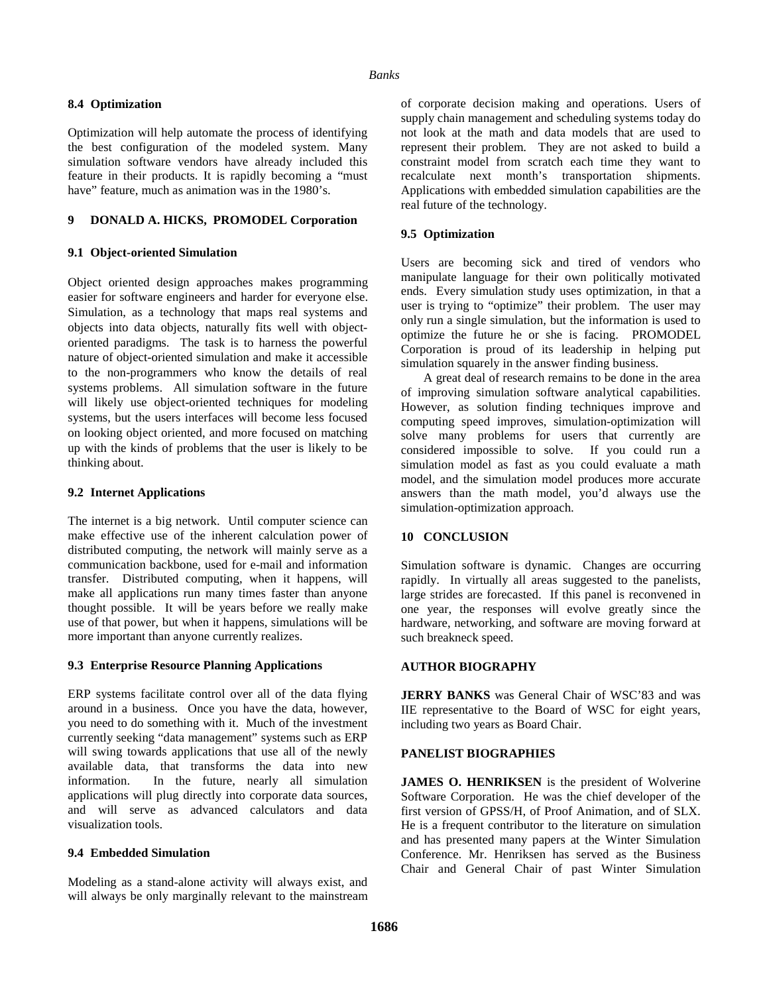### **8.4 Optimization**

Optimization will help automate the process of identifying the best configuration of the modeled system. Many simulation software vendors have already included this feature in their products. It is rapidly becoming a "must have" feature, much as animation was in the 1980's.

# **9 DONALD A. HICKS, PROMODEL Corporation**

## **9.1 Object-oriented Simulation**

Object oriented design approaches makes programming easier for software engineers and harder for everyone else. Simulation, as a technology that maps real systems and objects into data objects, naturally fits well with objectoriented paradigms. The task is to harness the powerful nature of object-oriented simulation and make it accessible to the non-programmers who know the details of real systems problems. All simulation software in the future will likely use object-oriented techniques for modeling systems, but the users interfaces will become less focused on looking object oriented, and more focused on matching up with the kinds of problems that the user is likely to be thinking about.

## **9.2 Internet Applications**

The internet is a big network. Until computer science can make effective use of the inherent calculation power of distributed computing, the network will mainly serve as a communication backbone, used for e-mail and information transfer. Distributed computing, when it happens, will make all applications run many times faster than anyone thought possible. It will be years before we really make use of that power, but when it happens, simulations will be more important than anyone currently realizes.

### **9.3 Enterprise Resource Planning Applications**

ERP systems facilitate control over all of the data flying around in a business. Once you have the data, however, you need to do something with it. Much of the investment currently seeking "data management" systems such as ERP will swing towards applications that use all of the newly available data, that transforms the data into new information. In the future, nearly all simulation applications will plug directly into corporate data sources, and will serve as advanced calculators and data visualization tools.

# **9.4 Embedded Simulation**

Modeling as a stand-alone activity will always exist, and will always be only marginally relevant to the mainstream of corporate decision making and operations. Users of supply chain management and scheduling systems today do not look at the math and data models that are used to represent their problem. They are not asked to build a constraint model from scratch each time they want to recalculate next month's transportation shipments. Applications with embedded simulation capabilities are the real future of the technology.

# **9.5 Optimization**

Users are becoming sick and tired of vendors who manipulate language for their own politically motivated ends. Every simulation study uses optimization, in that a user is trying to "optimize" their problem. The user may only run a single simulation, but the information is used to optimize the future he or she is facing. PROMODEL Corporation is proud of its leadership in helping put simulation squarely in the answer finding business.

A great deal of research remains to be done in the area of improving simulation software analytical capabilities. However, as solution finding techniques improve and computing speed improves, simulation-optimization will solve many problems for users that currently are considered impossible to solve. If you could run a simulation model as fast as you could evaluate a math model, and the simulation model produces more accurate answers than the math model, you'd always use the simulation-optimization approach.

# **10 CONCLUSION**

Simulation software is dynamic. Changes are occurring rapidly. In virtually all areas suggested to the panelists, large strides are forecasted. If this panel is reconvened in one year, the responses will evolve greatly since the hardware, networking, and software are moving forward at such breakneck speed.

# **AUTHOR BIOGRAPHY**

**JERRY BANKS** was General Chair of WSC'83 and was IIE representative to the Board of WSC for eight years, including two years as Board Chair.

### **PANELIST BIOGRAPHIES**

**JAMES O. HENRIKSEN** is the president of Wolverine Software Corporation. He was the chief developer of the first version of GPSS/H, of Proof Animation, and of SLX. He is a frequent contributor to the literature on simulation and has presented many papers at the Winter Simulation Conference. Mr. Henriksen has served as the Business Chair and General Chair of past Winter Simulation